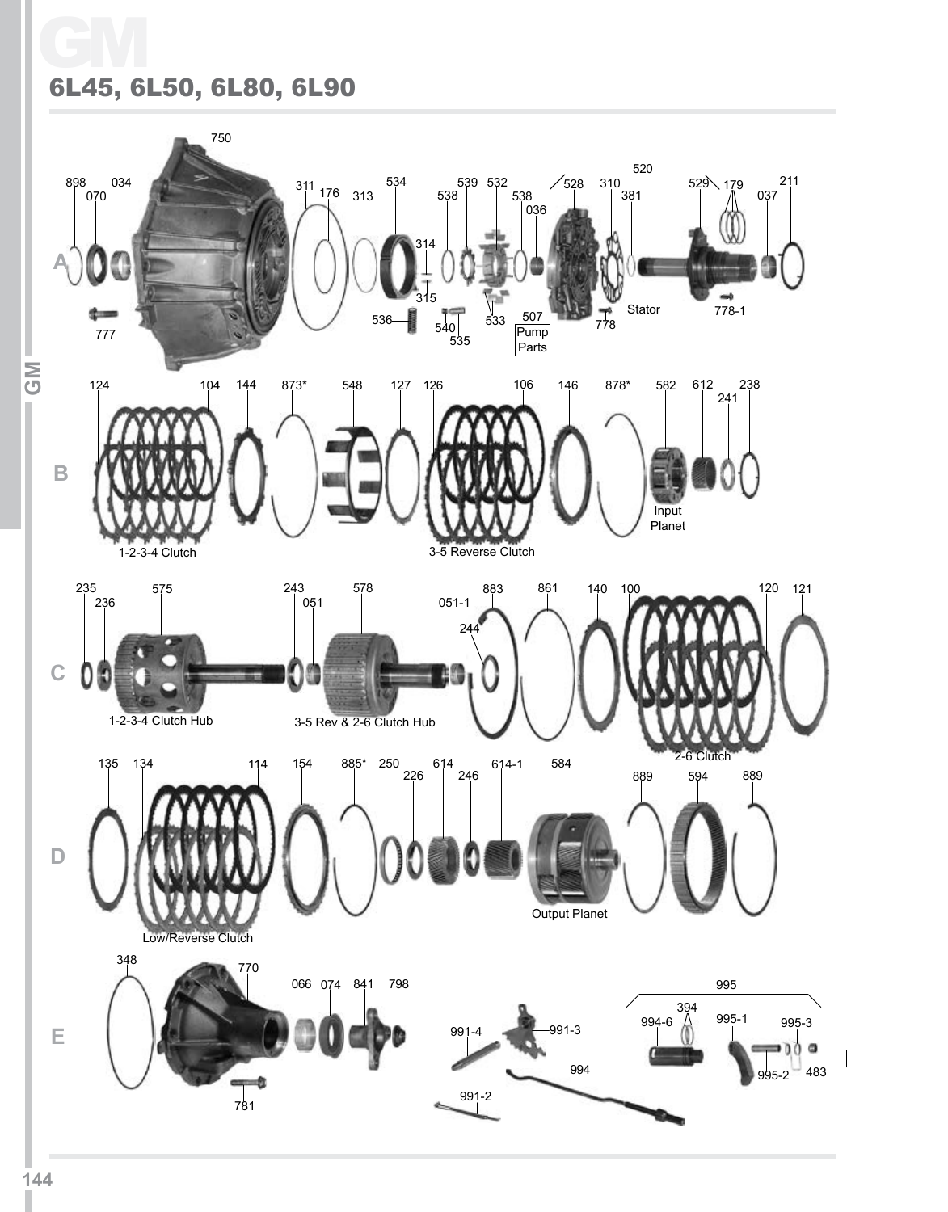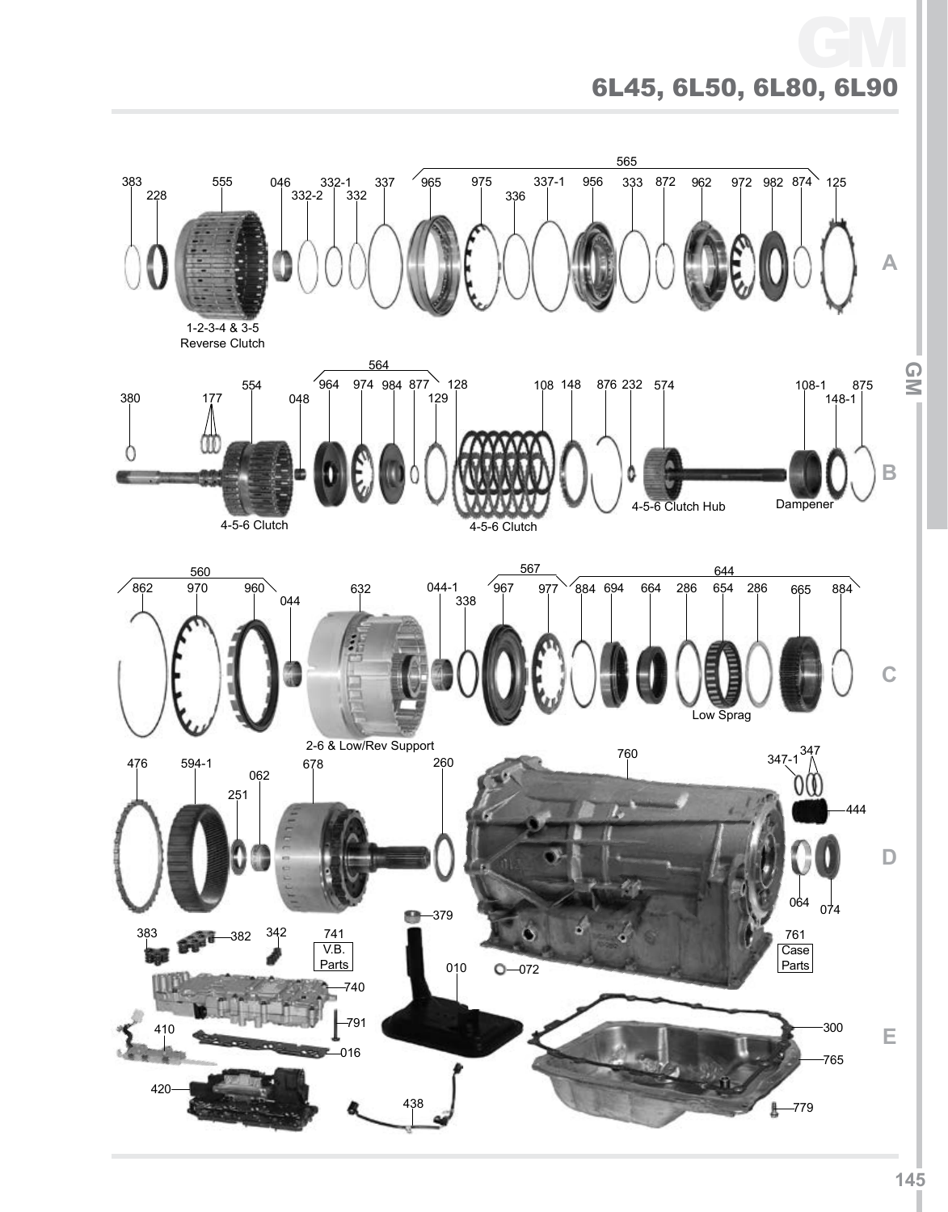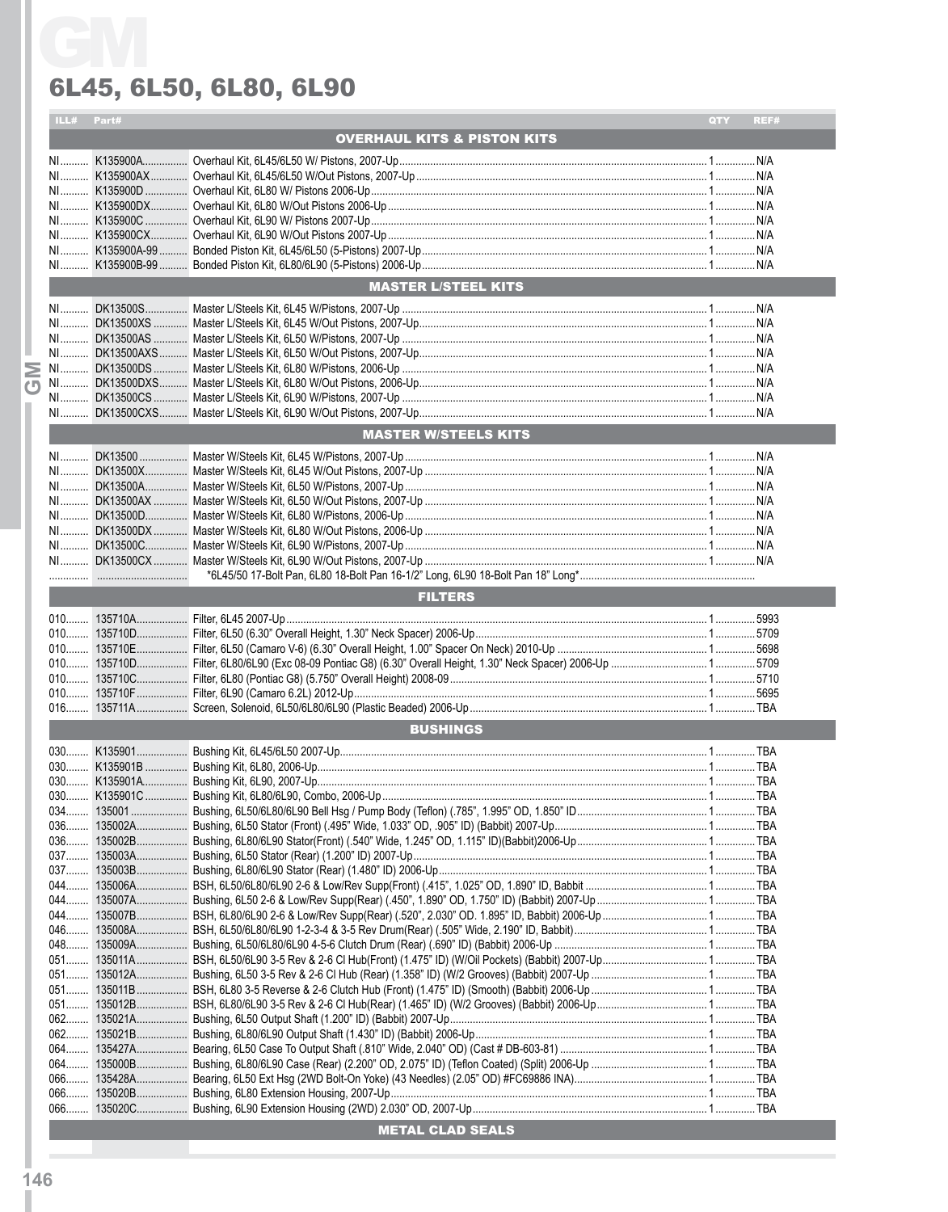|  | ILL#            | Part# |                                                                                                                                                                                                                                      | QTY | REF# |  |  |
|--|-----------------|-------|--------------------------------------------------------------------------------------------------------------------------------------------------------------------------------------------------------------------------------------|-----|------|--|--|
|  |                 |       | <b>OVERHAUL KITS &amp; PISTON KITS</b>                                                                                                                                                                                               |     |      |  |  |
|  |                 |       |                                                                                                                                                                                                                                      |     |      |  |  |
|  |                 |       |                                                                                                                                                                                                                                      |     |      |  |  |
|  |                 |       |                                                                                                                                                                                                                                      |     |      |  |  |
|  |                 |       |                                                                                                                                                                                                                                      |     |      |  |  |
|  |                 |       |                                                                                                                                                                                                                                      |     |      |  |  |
|  |                 |       |                                                                                                                                                                                                                                      |     |      |  |  |
|  |                 |       |                                                                                                                                                                                                                                      |     |      |  |  |
|  |                 |       |                                                                                                                                                                                                                                      |     |      |  |  |
|  |                 |       |                                                                                                                                                                                                                                      |     |      |  |  |
|  |                 |       | <b>MASTER L/STEEL KITS</b>                                                                                                                                                                                                           |     |      |  |  |
|  | NI              |       |                                                                                                                                                                                                                                      |     |      |  |  |
|  |                 |       |                                                                                                                                                                                                                                      |     |      |  |  |
|  |                 |       |                                                                                                                                                                                                                                      |     |      |  |  |
|  |                 |       |                                                                                                                                                                                                                                      |     |      |  |  |
|  |                 |       |                                                                                                                                                                                                                                      |     |      |  |  |
|  |                 |       |                                                                                                                                                                                                                                      |     |      |  |  |
|  |                 |       |                                                                                                                                                                                                                                      |     |      |  |  |
|  |                 |       |                                                                                                                                                                                                                                      |     |      |  |  |
|  |                 |       | <b>MASTER W/STEELS KITS</b>                                                                                                                                                                                                          |     |      |  |  |
|  |                 |       |                                                                                                                                                                                                                                      |     |      |  |  |
|  | $N1$            |       |                                                                                                                                                                                                                                      |     |      |  |  |
|  |                 |       |                                                                                                                                                                                                                                      |     |      |  |  |
|  |                 |       |                                                                                                                                                                                                                                      |     |      |  |  |
|  |                 |       |                                                                                                                                                                                                                                      |     |      |  |  |
|  |                 |       |                                                                                                                                                                                                                                      |     |      |  |  |
|  |                 |       |                                                                                                                                                                                                                                      |     |      |  |  |
|  |                 |       |                                                                                                                                                                                                                                      |     |      |  |  |
|  |                 |       |                                                                                                                                                                                                                                      |     |      |  |  |
|  |                 |       |                                                                                                                                                                                                                                      |     |      |  |  |
|  | <b>FILTERS</b>  |       |                                                                                                                                                                                                                                      |     |      |  |  |
|  |                 |       |                                                                                                                                                                                                                                      |     |      |  |  |
|  |                 |       |                                                                                                                                                                                                                                      |     |      |  |  |
|  |                 |       |                                                                                                                                                                                                                                      |     |      |  |  |
|  |                 |       |                                                                                                                                                                                                                                      |     |      |  |  |
|  |                 |       |                                                                                                                                                                                                                                      |     |      |  |  |
|  |                 |       |                                                                                                                                                                                                                                      |     |      |  |  |
|  |                 |       |                                                                                                                                                                                                                                      |     |      |  |  |
|  |                 |       |                                                                                                                                                                                                                                      |     |      |  |  |
|  | <b>BUSHINGS</b> |       |                                                                                                                                                                                                                                      |     |      |  |  |
|  |                 |       |                                                                                                                                                                                                                                      |     |      |  |  |
|  |                 |       |                                                                                                                                                                                                                                      |     |      |  |  |
|  |                 |       |                                                                                                                                                                                                                                      |     |      |  |  |
|  |                 |       |                                                                                                                                                                                                                                      |     |      |  |  |
|  |                 |       |                                                                                                                                                                                                                                      |     |      |  |  |
|  |                 |       |                                                                                                                                                                                                                                      |     |      |  |  |
|  |                 |       |                                                                                                                                                                                                                                      |     |      |  |  |
|  |                 |       |                                                                                                                                                                                                                                      |     |      |  |  |
|  |                 |       |                                                                                                                                                                                                                                      |     |      |  |  |
|  |                 |       |                                                                                                                                                                                                                                      |     |      |  |  |
|  |                 |       |                                                                                                                                                                                                                                      |     |      |  |  |
|  |                 |       |                                                                                                                                                                                                                                      |     |      |  |  |
|  |                 |       |                                                                                                                                                                                                                                      |     |      |  |  |
|  | $048$           |       |                                                                                                                                                                                                                                      |     |      |  |  |
|  |                 |       |                                                                                                                                                                                                                                      |     |      |  |  |
|  |                 |       |                                                                                                                                                                                                                                      |     |      |  |  |
|  |                 |       |                                                                                                                                                                                                                                      |     |      |  |  |
|  |                 |       |                                                                                                                                                                                                                                      |     |      |  |  |
|  |                 |       |                                                                                                                                                                                                                                      |     |      |  |  |
|  |                 |       |                                                                                                                                                                                                                                      |     |      |  |  |
|  |                 |       |                                                                                                                                                                                                                                      |     |      |  |  |
|  |                 |       |                                                                                                                                                                                                                                      |     |      |  |  |
|  |                 |       |                                                                                                                                                                                                                                      |     |      |  |  |
|  |                 |       |                                                                                                                                                                                                                                      |     |      |  |  |
|  |                 |       |                                                                                                                                                                                                                                      |     |      |  |  |
|  |                 |       | METAL CLAD SEALS <b>And Account to the Contract of the Contract of Contract Contract of the Contract of Texas and Contract of the Contract of Texas and Texas and Texas and Texas and Texas and Texas and Texas and Texas and Te</b> |     |      |  |  |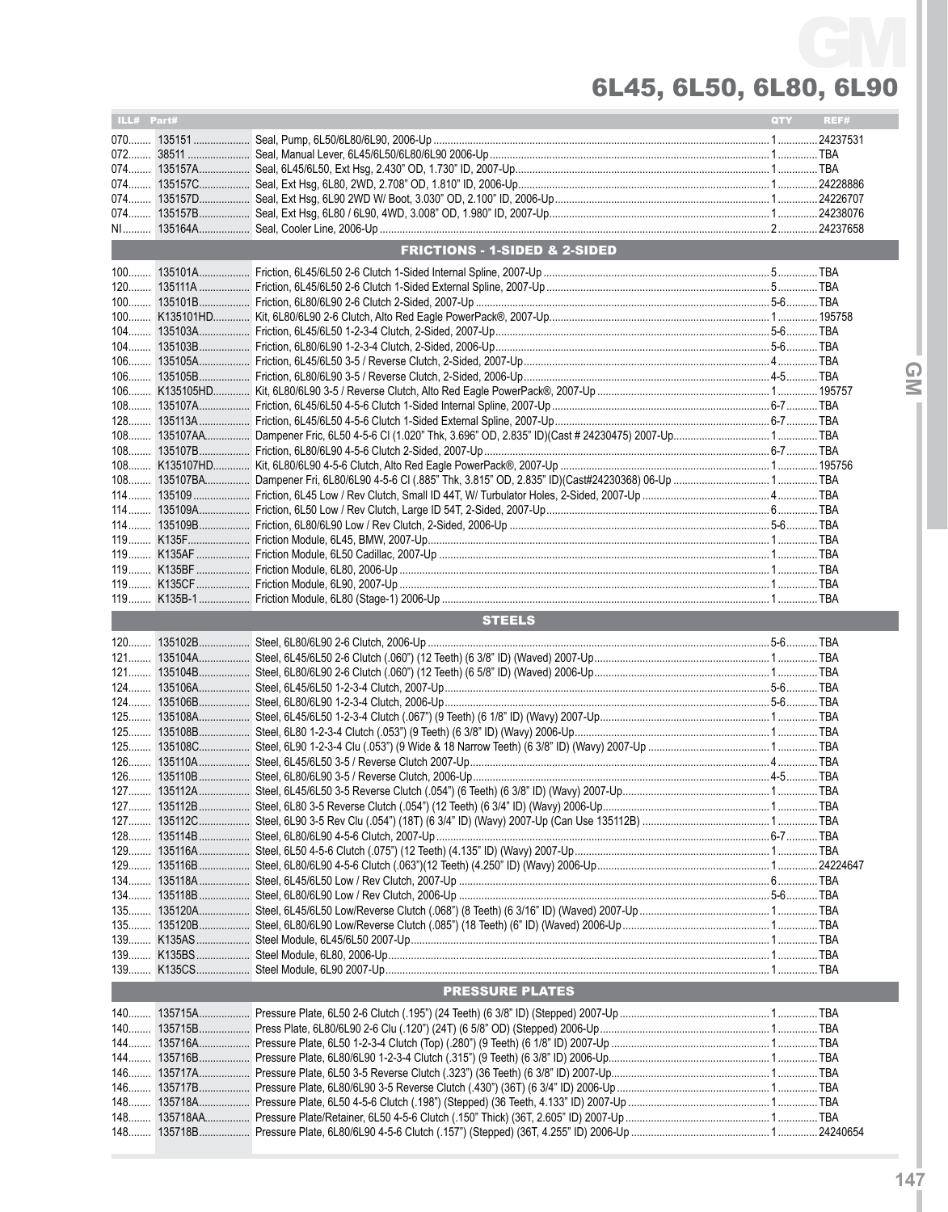| ILL# Part# |                                          | <b>QTY</b> | REF# |
|------------|------------------------------------------|------------|------|
|            |                                          |            |      |
| 072        |                                          |            |      |
| 074        |                                          |            |      |
|            |                                          |            |      |
|            |                                          |            |      |
|            |                                          |            |      |
|            | <b>FRICTIONS - 1-SIDED &amp; 2-SIDED</b> |            |      |
|            |                                          |            |      |
|            |                                          |            |      |
|            |                                          |            |      |
|            |                                          |            |      |
|            |                                          |            |      |
|            |                                          |            |      |
|            |                                          |            |      |
|            |                                          |            |      |
|            |                                          |            |      |
|            |                                          |            |      |
| $108$      |                                          |            |      |
|            |                                          |            |      |
|            |                                          |            |      |
|            |                                          |            |      |
|            |                                          |            |      |
|            |                                          |            |      |
|            |                                          |            |      |
|            |                                          |            |      |
|            |                                          |            |      |
|            |                                          |            |      |
|            |                                          |            |      |
|            | <b>STEELS</b>                            |            |      |
|            |                                          |            |      |
|            |                                          |            |      |
|            |                                          |            |      |
|            |                                          |            |      |
|            |                                          |            |      |
|            |                                          |            |      |
|            |                                          |            |      |
|            |                                          |            |      |
|            |                                          |            |      |
|            |                                          |            |      |
|            |                                          |            |      |
|            |                                          |            |      |
| $128$      |                                          |            |      |
|            |                                          |            |      |
|            |                                          |            |      |
|            |                                          |            |      |
| $135$      |                                          |            |      |
|            |                                          |            |      |
|            |                                          |            |      |
|            |                                          |            |      |
|            |                                          |            |      |
|            | <b>PRESSURE PLATES</b>                   |            |      |
|            |                                          |            |      |
|            |                                          |            |      |
|            |                                          |            |      |
| $144$      |                                          |            |      |
|            |                                          |            |      |
| 146        |                                          |            |      |
|            |                                          |            |      |
| $148$      |                                          |            |      |
|            |                                          |            |      |

**IGMI**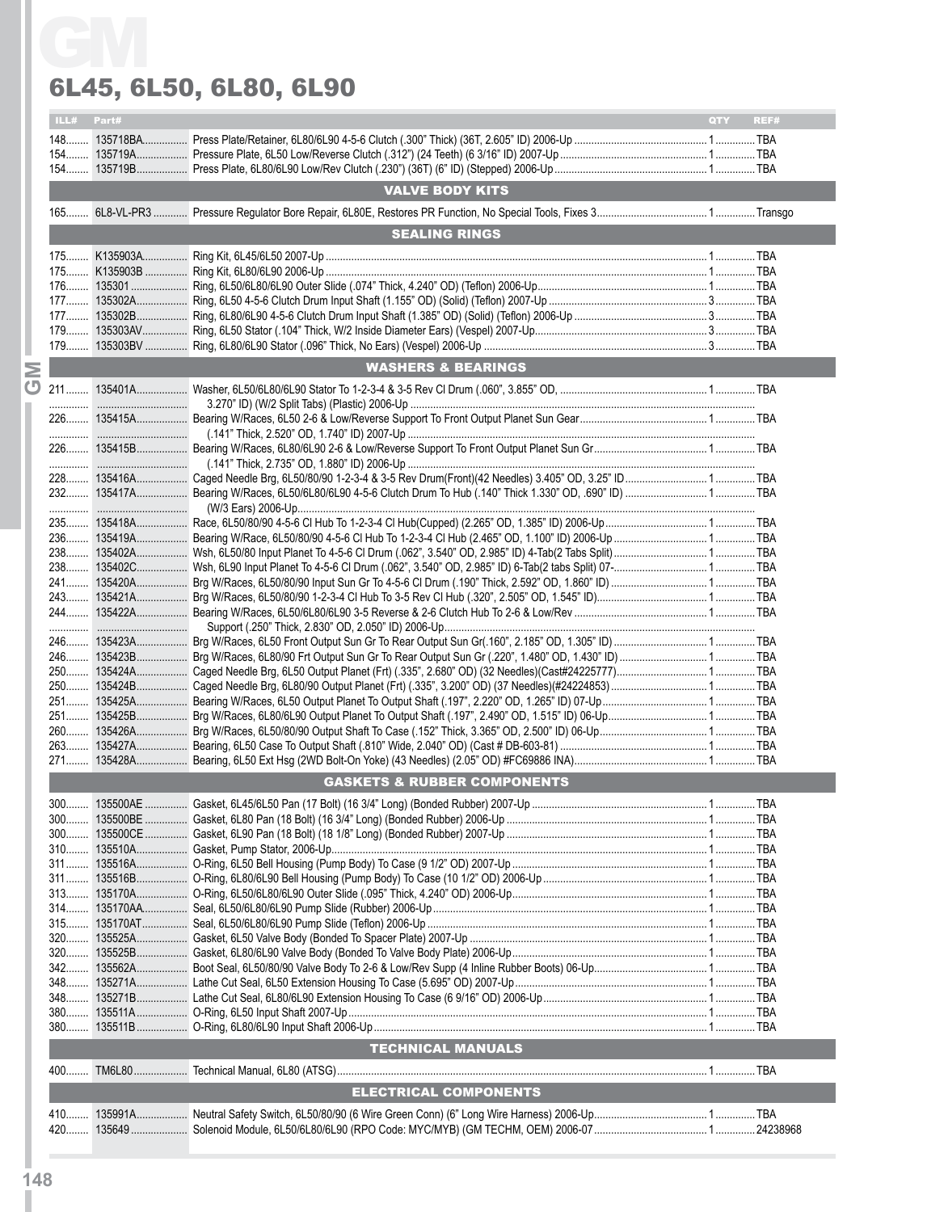|       | Part# |                                        | <b>OTY</b> |
|-------|-------|----------------------------------------|------------|
| ILL#  |       |                                        | REF#       |
|       |       |                                        |            |
|       |       |                                        |            |
|       |       | <b>VALVE BODY KITS</b>                 |            |
|       |       |                                        |            |
|       |       |                                        |            |
|       |       | <b>SEALING RINGS</b>                   |            |
|       |       |                                        |            |
|       |       |                                        |            |
|       |       |                                        |            |
|       |       |                                        |            |
|       |       |                                        |            |
|       |       |                                        |            |
|       |       | <b>WASHERS &amp; BEARINGS</b>          |            |
|       |       |                                        |            |
|       |       |                                        |            |
|       |       |                                        |            |
|       |       |                                        |            |
|       |       |                                        |            |
|       |       |                                        |            |
|       |       |                                        |            |
|       |       |                                        |            |
|       |       |                                        |            |
|       |       |                                        |            |
|       |       |                                        |            |
|       |       |                                        |            |
|       |       |                                        |            |
|       |       |                                        |            |
|       |       |                                        |            |
|       |       |                                        |            |
|       |       |                                        |            |
|       |       |                                        |            |
|       |       |                                        |            |
|       |       |                                        |            |
|       |       |                                        |            |
|       |       |                                        |            |
|       |       |                                        |            |
|       |       | <b>GASKETS &amp; RUBBER COMPONENTS</b> |            |
|       |       |                                        |            |
|       |       |                                        |            |
|       |       |                                        |            |
|       |       |                                        |            |
|       |       |                                        |            |
|       |       |                                        |            |
|       |       |                                        |            |
|       |       |                                        |            |
|       |       |                                        |            |
|       |       |                                        |            |
|       |       |                                        |            |
|       |       |                                        |            |
|       |       |                                        |            |
| $380$ |       |                                        |            |
|       |       |                                        |            |
|       |       | <b>TECHNICAL MANUALS</b>               |            |
|       |       |                                        |            |
|       |       | <b>ELECTRICAL COMPONENTS</b>           |            |
|       |       |                                        |            |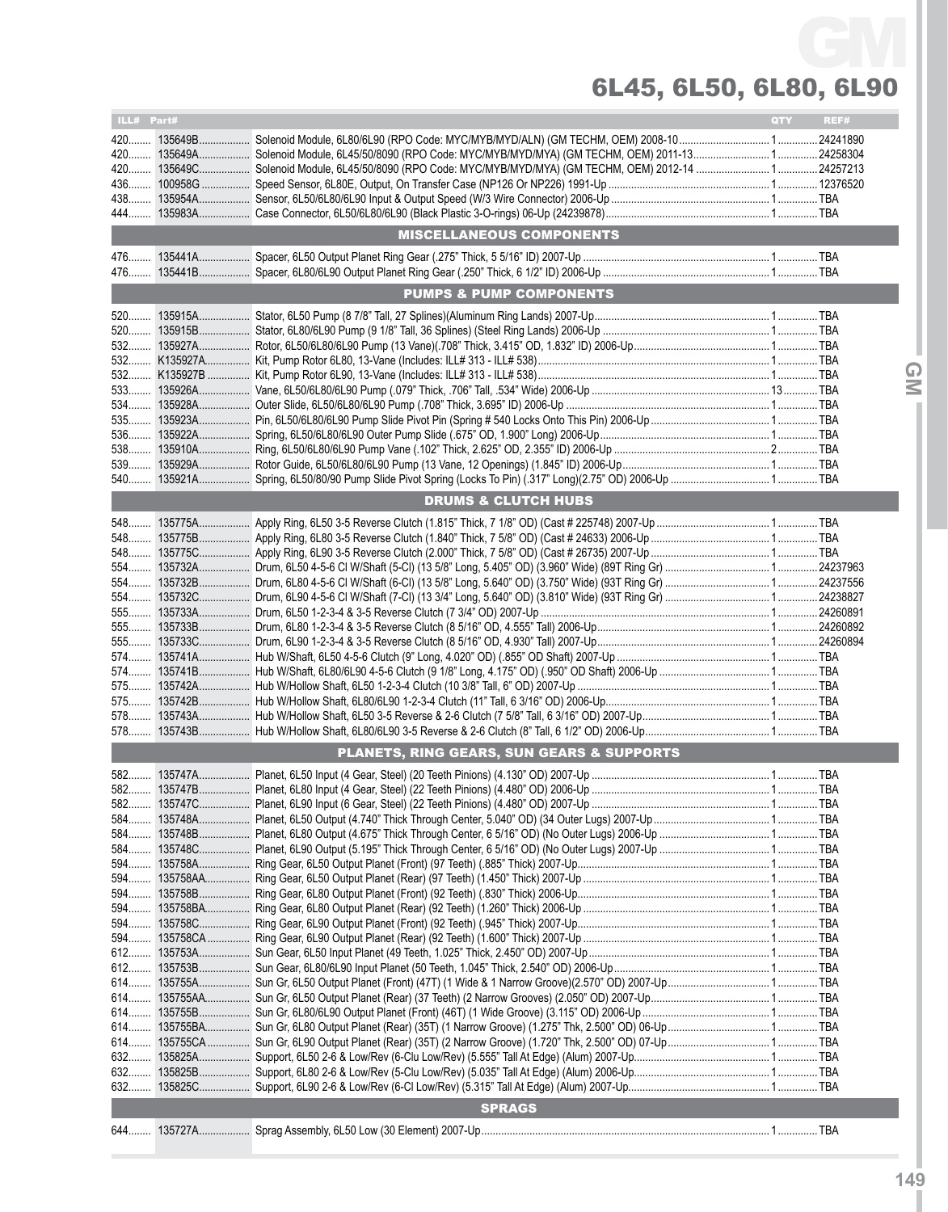| ILL# Part# |                                                      | <b>QTY</b> | REF# |   |
|------------|------------------------------------------------------|------------|------|---|
|            |                                                      |            |      |   |
|            |                                                      |            |      |   |
|            |                                                      |            |      |   |
|            |                                                      |            |      |   |
|            |                                                      |            |      |   |
|            |                                                      |            |      |   |
|            | <b>MISCELLANEOUS COMPONENTS</b>                      |            |      |   |
|            |                                                      |            |      |   |
|            |                                                      |            |      |   |
|            |                                                      |            |      |   |
|            | <b>PUMPS &amp; PUMP COMPONENTS</b>                   |            |      |   |
|            |                                                      |            |      |   |
|            |                                                      |            |      |   |
|            |                                                      |            |      |   |
|            |                                                      |            |      |   |
|            |                                                      |            |      | ⋒ |
|            |                                                      |            |      | Μ |
|            |                                                      |            |      |   |
|            |                                                      |            |      |   |
| 536        |                                                      |            |      |   |
|            |                                                      |            |      |   |
|            |                                                      |            |      |   |
|            |                                                      |            |      |   |
|            | <b>DRUMS &amp; CLUTCH HUBS</b>                       |            |      |   |
|            |                                                      |            |      |   |
|            |                                                      |            |      |   |
|            |                                                      |            |      |   |
|            |                                                      |            |      |   |
|            |                                                      |            |      |   |
|            |                                                      |            |      |   |
|            |                                                      |            |      |   |
|            |                                                      |            |      |   |
|            |                                                      |            |      |   |
|            |                                                      |            |      |   |
|            |                                                      |            |      |   |
|            |                                                      |            |      |   |
|            |                                                      |            |      |   |
|            |                                                      |            |      |   |
|            |                                                      |            |      |   |
|            | <b>PLANETS, RING GEARS, SUN GEARS &amp; SUPPORTS</b> |            |      |   |
|            |                                                      |            |      |   |
|            |                                                      |            |      |   |
|            |                                                      |            |      |   |
|            |                                                      |            |      |   |
| 584        |                                                      |            |      |   |
|            |                                                      |            |      |   |
|            |                                                      |            |      |   |
|            |                                                      |            |      |   |
|            |                                                      |            |      |   |
| 594        |                                                      |            |      |   |
|            |                                                      |            |      |   |
|            |                                                      |            |      |   |
|            |                                                      |            |      |   |
|            |                                                      |            |      |   |
| 614        |                                                      |            |      |   |
|            |                                                      |            |      |   |
|            |                                                      |            |      |   |
|            |                                                      |            |      |   |
|            |                                                      |            |      |   |
| 632        |                                                      |            |      |   |
|            |                                                      |            |      |   |
| 632        |                                                      |            |      |   |
|            | <b>SPRAGS</b>                                        |            |      |   |
|            |                                                      |            |      |   |
|            |                                                      |            |      |   |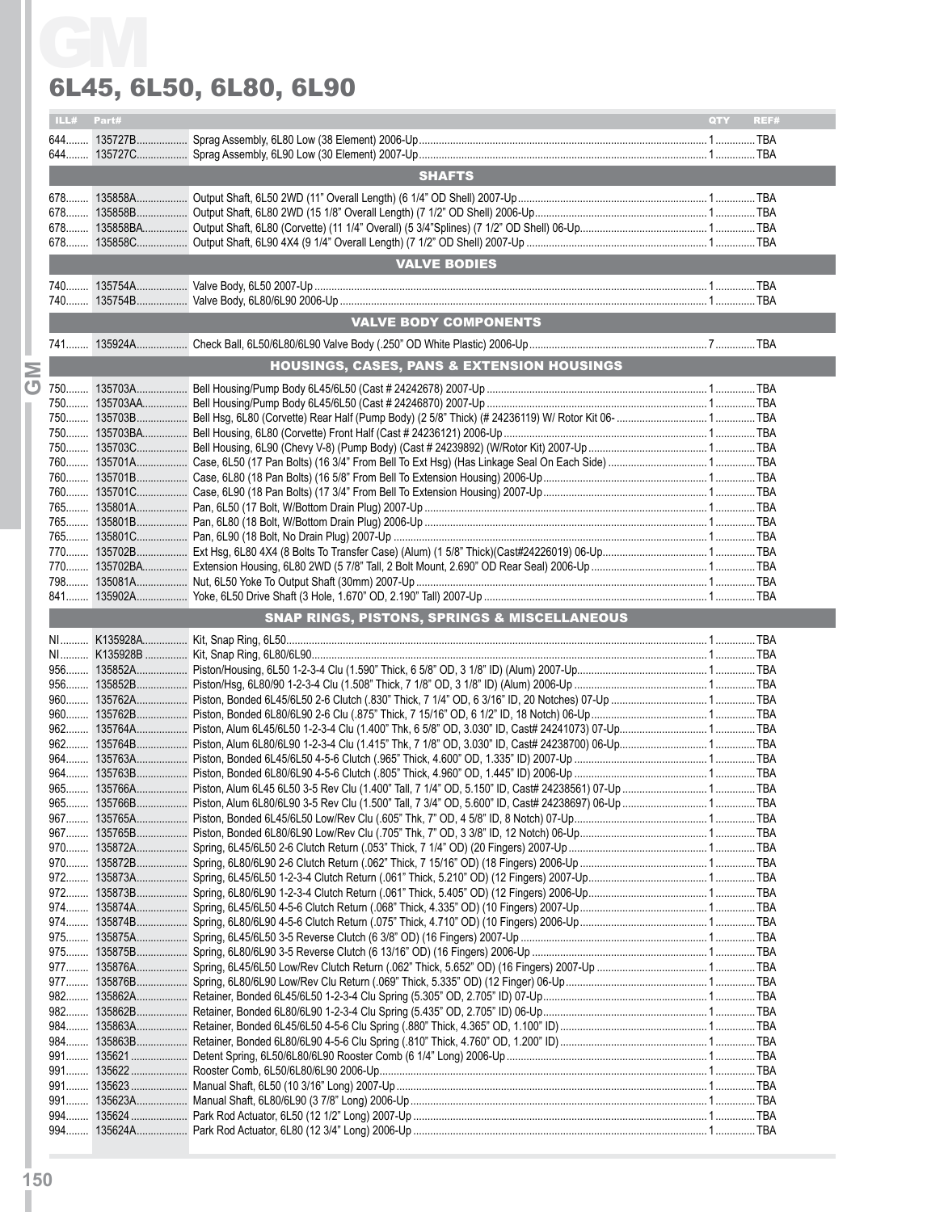|      |       | 6L45, 6L50, 6L80, 6L90                                  |             |
|------|-------|---------------------------------------------------------|-------------|
| ILL# | Part# |                                                         | QTY<br>REF# |
|      |       |                                                         |             |
|      |       |                                                         |             |
|      |       | <b>SHAFTS</b>                                           |             |
|      |       |                                                         |             |
|      |       |                                                         |             |
|      |       |                                                         |             |
|      |       |                                                         |             |
|      |       | <b>VALVE BODIES</b>                                     |             |
|      |       |                                                         |             |
|      |       |                                                         |             |
|      |       | <b>VALVE BODY COMPONENTS</b>                            |             |
|      |       |                                                         |             |
|      |       | <b>HOUSINGS, CASES, PANS &amp; EXTENSION HOUSINGS</b>   |             |
|      |       |                                                         |             |
|      |       |                                                         |             |
|      |       |                                                         |             |
|      |       |                                                         |             |
|      |       |                                                         |             |
|      |       |                                                         |             |
|      |       |                                                         |             |
|      |       |                                                         |             |
|      |       |                                                         |             |
|      |       |                                                         |             |
|      |       |                                                         |             |
|      |       |                                                         |             |
|      |       | <b>SNAP RINGS, PISTONS, SPRINGS &amp; MISCELLANEOUS</b> |             |
|      |       |                                                         |             |
|      |       |                                                         |             |
|      |       |                                                         |             |
|      |       |                                                         |             |
|      |       |                                                         |             |
|      |       |                                                         |             |
|      |       |                                                         |             |
|      |       |                                                         |             |
|      |       |                                                         |             |
|      |       |                                                         |             |
|      |       |                                                         |             |
|      |       |                                                         |             |
|      |       |                                                         |             |
|      |       |                                                         |             |
|      |       |                                                         |             |
|      |       |                                                         |             |
|      |       |                                                         |             |
|      |       |                                                         |             |
|      |       |                                                         |             |
|      |       |                                                         |             |
|      |       |                                                         |             |
|      |       |                                                         |             |
|      |       |                                                         |             |
|      |       |                                                         |             |
|      |       |                                                         |             |
|      |       |                                                         |             |
|      |       |                                                         |             |
|      |       |                                                         |             |